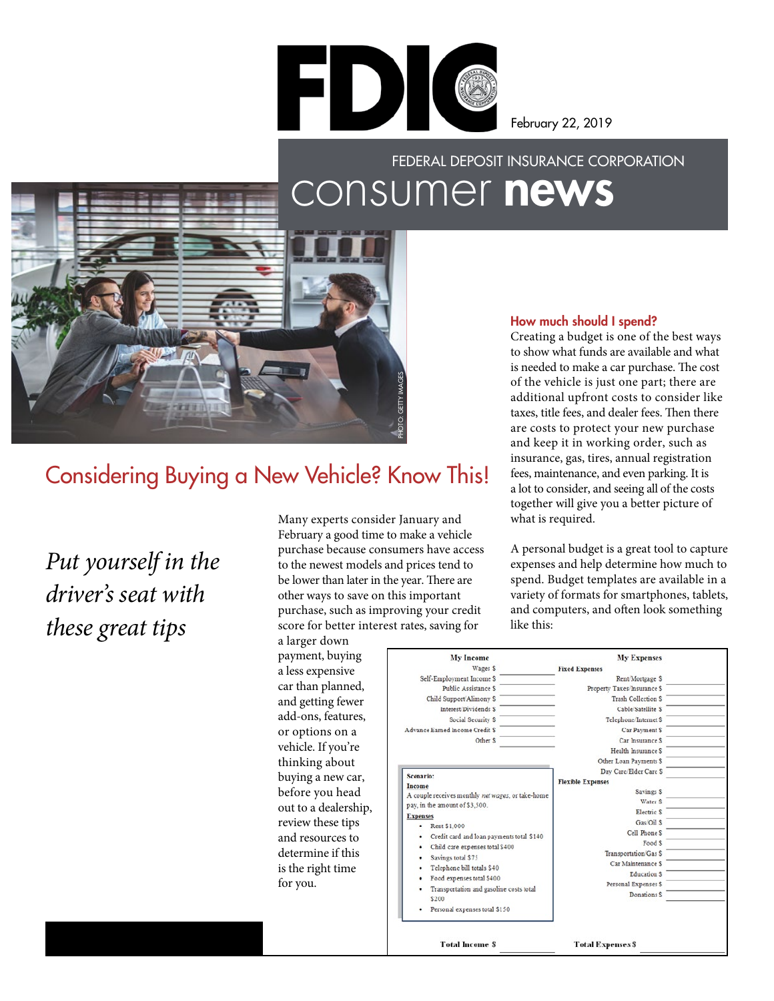

February 22, 2019

# FEDERAL DEPOSIT INSURANCE CORPORATION consumer news



# Considering Buying a New Vehicle? Know This!

*Put yourself in the driver's seat with these great tips* 

 score for better interest rates, saving for Many experts consider January and February a good time to make a vehicle purchase because consumers have access to the newest models and prices tend to be lower than later in the year. There are other ways to save on this important purchase, such as improving your credit

a larger down payment, buying a less expensive car than planned, and getting fewer add-ons, features, or options on a vehicle. If you're thinking about buying a new car, before you head out to a dealership, review these tips and resources to determine if this is the right time for you.

## How much should I spend?

Creating a budget is one of the best ways to show what funds are available and what is needed to make a car purchase. The cost of the vehicle is just one part; there are additional upfront costs to consider like taxes, title fees, and dealer fees. Then there are costs to protect your new purchase and keep it in working order, such as insurance, gas, tires, annual registration fees, maintenance, and even parking. It is a lot to consider, and seeing all of the costs together will give you a better picture of what is required.

A personal budget is a great tool to capture expenses and help determine how much to spend. Budget templates are available in a variety of formats for smartphones, tablets, and computers, and ofen look something like this:

| <b>My Income</b>                                  | <b>My Expenses</b>          |  |
|---------------------------------------------------|-----------------------------|--|
| Wages \$                                          | <b>Fixed Expenses</b>       |  |
| Self-Employment Income \$                         | Rent Mortgage \$            |  |
| <b>Public Assistance S</b>                        | Property Taxes/Insurance \$ |  |
| Child Support/Alimony \$                          | <b>Trash Collection S</b>   |  |
| <b>Interest Dividends S</b>                       | Cable/Satellite S           |  |
| Social Security \$                                | Telephone/Internet \$       |  |
| Advance Earned Income Credit S.                   | Car Payment \$              |  |
| Other \$                                          | Car Insurance \$            |  |
|                                                   | Health Insurance S          |  |
|                                                   | Other Loan Payments \$      |  |
| Scenario:                                         | Day Care/Elder Care S       |  |
| Income                                            | <b>Flexible Expenses</b>    |  |
| A couple receives monthly net wages, or take-home | Savings S                   |  |
| pay, in the amount of \$3,500.                    | Water \$                    |  |
| <b>Expenses</b>                                   | Electric S                  |  |
| Rent \$1,000                                      | Gas Oil S                   |  |
| Credit card and loan payments total \$140         | Cell Phone S                |  |
| Child care expenses total \$400                   | Food \$                     |  |
| Savings total \$75<br>٠                           | Transportation Gas \$       |  |
| Telephone bill totals \$40                        | Car Maintenance \$          |  |
| Food expenses total \$400                         | <b>Education \$</b>         |  |
| Transportation and gasoline costs total           | Personal Expenses \$        |  |
| \$200                                             | Donations \$                |  |
| Personal expenses total \$150                     |                             |  |
| <b>Total Income S</b>                             | <b>Total Expenses \$</b>    |  |